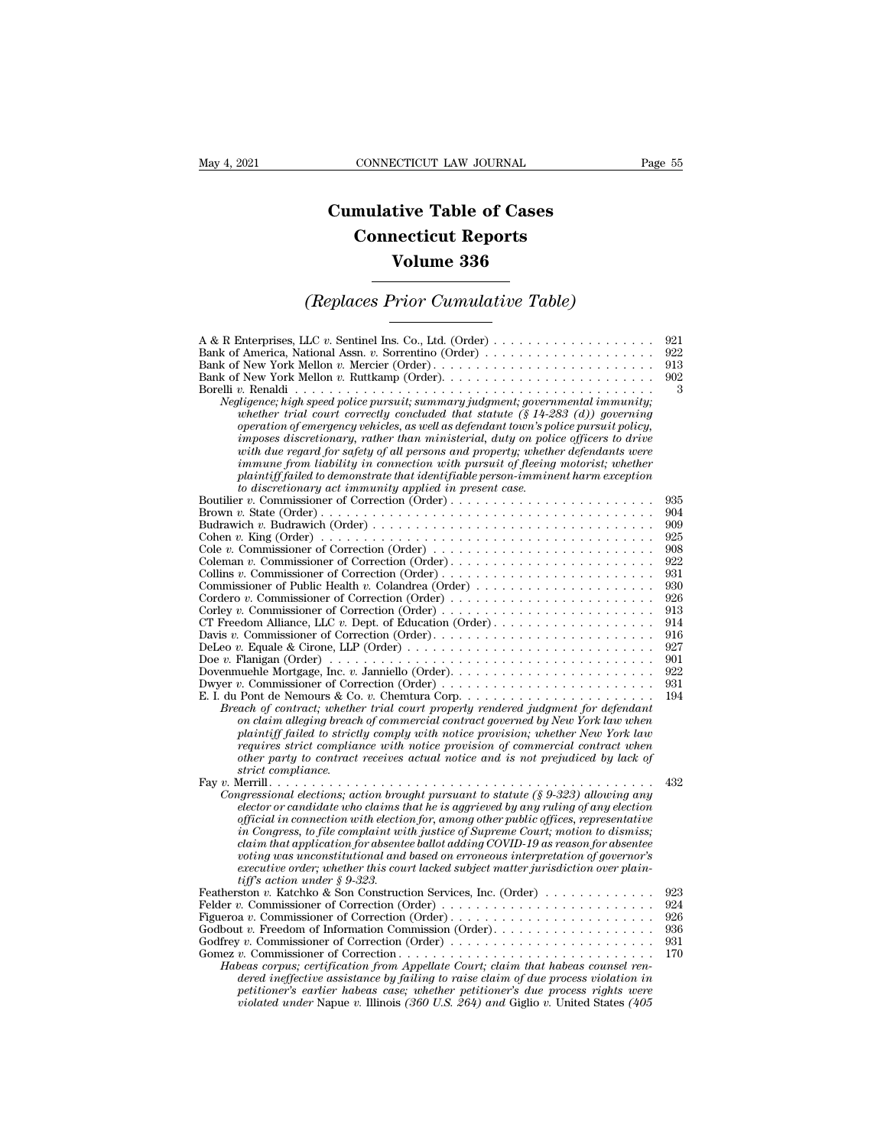## **CONNECTICUT LAW JOURNAL**<br> **Cumulative Table of Cases<br>
Connecticut Reports CONNECTICUT LAW JOURNAL**<br> **CONNECTICUT LAW JOURNAL**<br> **CONNECTICUT Reports<br>
Volume 336 ECTICUT LAW JOURNAL**<br> **Volume 336**<br> **Volume 336**<br> **Volume 336**<br> **Prior Cumulative Table CONNECTICUT LAW JOURNAL** Page 55<br> **Cumulative Table of Cases<br>
Connecticut Reports<br>
Volume 336<br>** *(Replaces Prior Cumulative Table)*

| <b>Volume 336</b>                                                                                                                                                                                                                                                                                                                                                                                                                                                                                                                                                                                                                                                                                                                                            |                                                                                                                     |
|--------------------------------------------------------------------------------------------------------------------------------------------------------------------------------------------------------------------------------------------------------------------------------------------------------------------------------------------------------------------------------------------------------------------------------------------------------------------------------------------------------------------------------------------------------------------------------------------------------------------------------------------------------------------------------------------------------------------------------------------------------------|---------------------------------------------------------------------------------------------------------------------|
| (Replaces Prior Cumulative Table)                                                                                                                                                                                                                                                                                                                                                                                                                                                                                                                                                                                                                                                                                                                            |                                                                                                                     |
| Bank of America, National Assn. v. Sorrentino (Order)<br>Bank of New York Mellon v. Mercier (Order)<br>Negligence; high speed police pursuit; summary judgment; governmental immunity;<br>whether trial court correctly concluded that statute $(\S 14{\text -}283\,(\text{d}))$ governing<br>operation of emergency vehicles, as well as defendant town's police pursuit policy,<br>imposes discretionary, rather than ministerial, duty on police officers to drive<br>with due regard for safety of all persons and property; whether defendants were<br>immune from liability in connection with pursuit of fleeing motorist; whether<br>plaintiff failed to demonstrate that identifiable person-imminent harm exception                                | 921<br>922<br>913<br>902<br>3                                                                                       |
| to discretionary act immunity applied in present case.<br>Cole v. Commissioner of Correction (Order) $\dots \dots \dots \dots \dots \dots \dots \dots \dots \dots$<br>Commissioner of Public Health v. Colandrea (Order) $\dots \dots \dots \dots \dots \dots \dots$<br>CT Freedom Alliance, LLC $v$ . Dept. of Education (Order)<br>Breach of contract; whether trial court properly rendered judgment for defendant<br>on claim alleging breach of commercial contract governed by New York law when<br>plaintiff failed to strictly comply with notice provision; whether New York law<br>requires strict compliance with notice provision of commercial contract when<br>other party to contract receives actual notice and is not prejudiced by lack of | 935<br>904<br>909<br>925<br>908<br>922<br>931<br>930<br>926<br>913<br>914<br>916<br>927<br>901<br>922<br>931<br>194 |
| strict compliance.<br>Congressional elections; action brought pursuant to statute (§ 9-323) allowing any<br>elector or candidate who claims that he is aggrieved by any ruling of any election<br>official in connection with election for, among other public offices, representative<br>in Congress, to file complaint with justice of Supreme Court; motion to dismiss;<br>claim that application for absentee ballot adding COVID-19 as reason for absentee<br>voting was unconstitutional and based on erroneous interpretation of governor's<br>executive order; whether this court lacked subject matter jurisdiction over plain-<br>tiff's action under § 9-323.                                                                                     | 432                                                                                                                 |
| Featherston v. Katchko & Son Construction Services, Inc. (Order)<br>Godbout v. Freedom of Information Commission (Order). $\dots \dots \dots \dots \dots \dots$<br>Habeas corpus; certification from Appellate Court; claim that habeas counsel ren-<br>dered ineffective assistance by failing to raise claim of due process violation in<br>petitioner's earlier habeas case; whether petitioner's due process rights were<br>violated under Napue v. Illinois (360 U.S. 264) and Giglio v. United States (405                                                                                                                                                                                                                                             | 923<br>924<br>926<br>936<br>931<br>170                                                                              |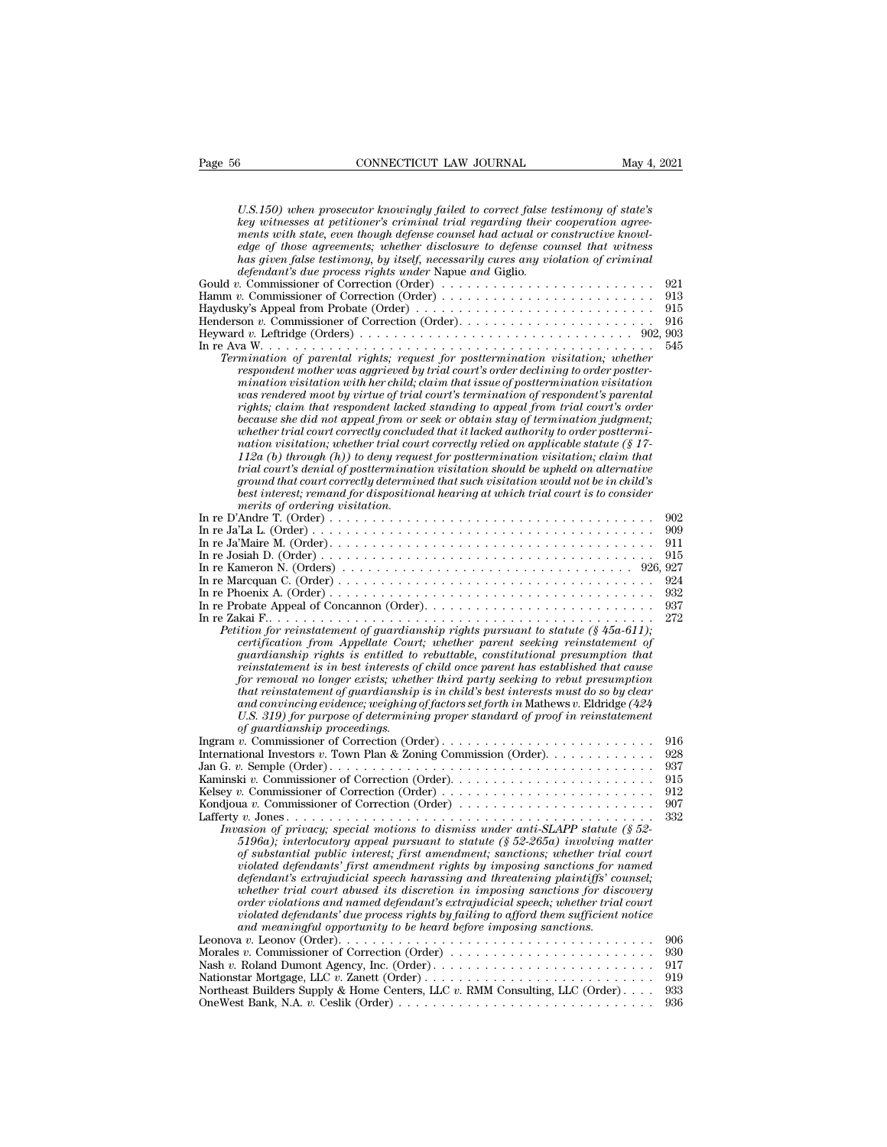| Page 56 | CONNECTICUT LAW JOURNAL<br>May 4, 2021                                                                                                                                                                                                                                                                                                                                                                                                                                                                                                                                                                                                                                                                                                                                                                                                                                                                                                                                                                                                                                                                           |                          |
|---------|------------------------------------------------------------------------------------------------------------------------------------------------------------------------------------------------------------------------------------------------------------------------------------------------------------------------------------------------------------------------------------------------------------------------------------------------------------------------------------------------------------------------------------------------------------------------------------------------------------------------------------------------------------------------------------------------------------------------------------------------------------------------------------------------------------------------------------------------------------------------------------------------------------------------------------------------------------------------------------------------------------------------------------------------------------------------------------------------------------------|--------------------------|
|         | U.S.150) when prosecutor knowingly failed to correct false testimony of state's<br>key witnesses at petitioner's criminal trial regarding their cooperation agree-<br>ments with state, even though defense counsel had actual or constructive knowl-<br>edge of those agreements; whether disclosure to defense counsel that witness<br>has given false testimony, by itself, necessarily cures any violation of criminal<br><i>defendant's due process rights under Napue and Giglio.</i><br>Gould v. Commissioner of Correction (Order) $\dots \dots \dots \dots \dots \dots \dots \dots \dots$<br>Hamm v. Commissioner of Correction (Order)<br>Haydusky's Appeal from Probate (Order)                                                                                                                                                                                                                                                                                                                                                                                                                       | 921<br>913<br>915<br>916 |
|         |                                                                                                                                                                                                                                                                                                                                                                                                                                                                                                                                                                                                                                                                                                                                                                                                                                                                                                                                                                                                                                                                                                                  |                          |
|         | Termination of parental rights; request for posttermination visitation; whether<br>respondent mother was aggrieved by trial court's order declining to order postter-<br>mination visitation with her child; claim that issue of posttermination visitation<br>was rendered moot by virtue of trial court's termination of respondent's parental<br>rights; claim that respondent lacked standing to appeal from trial court's order<br>because she did not appeal from or seek or obtain stay of termination judgment;<br>whether trial court correctly concluded that it lacked authority to order posttermi-<br>nation visitation; whether trial court correctly relied on applicable statute $(\S 17 - \S 17)$<br>$112a(b)$ through $(h)$ ) to deny request for posttermination visitation; claim that<br>trial court's denial of posttermination visitation should be upheld on alternative<br>ground that court correctly determined that such visitation would not be in child's<br>best interest; remand for dispositional hearing at which trial court is to consider<br>merits of ordering visitation. | 545                      |
|         |                                                                                                                                                                                                                                                                                                                                                                                                                                                                                                                                                                                                                                                                                                                                                                                                                                                                                                                                                                                                                                                                                                                  | 902<br>909               |
|         |                                                                                                                                                                                                                                                                                                                                                                                                                                                                                                                                                                                                                                                                                                                                                                                                                                                                                                                                                                                                                                                                                                                  | 911                      |
|         |                                                                                                                                                                                                                                                                                                                                                                                                                                                                                                                                                                                                                                                                                                                                                                                                                                                                                                                                                                                                                                                                                                                  | 915                      |
|         |                                                                                                                                                                                                                                                                                                                                                                                                                                                                                                                                                                                                                                                                                                                                                                                                                                                                                                                                                                                                                                                                                                                  |                          |
|         |                                                                                                                                                                                                                                                                                                                                                                                                                                                                                                                                                                                                                                                                                                                                                                                                                                                                                                                                                                                                                                                                                                                  | 924                      |
|         |                                                                                                                                                                                                                                                                                                                                                                                                                                                                                                                                                                                                                                                                                                                                                                                                                                                                                                                                                                                                                                                                                                                  | 932<br>937               |
|         | Petition for reinstatement of guardianship rights pursuant to statute $(\S 45a-611)$ ;<br>certification from Appellate Court; whether parent seeking reinstatement of<br><i>guardianship rights is entitled to rebuttable, constitutional presumption that</i><br>reinstatement is in best interests of child once parent has established that cause<br>for removal no longer exists; whether third party seeking to rebut presumption<br>that reinstatement of quardianship is in child's best interests must do so by clear<br>and convincing evidence; weighing of factors set forth in Mathews v. Eldridge (424<br>U.S. 319) for purpose of determining proper standard of proof in reinstatement<br>of guardianship proceedings.                                                                                                                                                                                                                                                                                                                                                                            | 272                      |
|         |                                                                                                                                                                                                                                                                                                                                                                                                                                                                                                                                                                                                                                                                                                                                                                                                                                                                                                                                                                                                                                                                                                                  | 916                      |
|         |                                                                                                                                                                                                                                                                                                                                                                                                                                                                                                                                                                                                                                                                                                                                                                                                                                                                                                                                                                                                                                                                                                                  | 928<br>937               |
|         |                                                                                                                                                                                                                                                                                                                                                                                                                                                                                                                                                                                                                                                                                                                                                                                                                                                                                                                                                                                                                                                                                                                  | 915                      |
|         | Kelsey v. Commissioner of Correction (Order) $\dots \dots \dots \dots \dots \dots \dots \dots \dots$                                                                                                                                                                                                                                                                                                                                                                                                                                                                                                                                                                                                                                                                                                                                                                                                                                                                                                                                                                                                             | 912                      |
|         | Kondjoua v. Commissioner of Correction (Order) $\dots \dots \dots \dots \dots \dots \dots \dots$                                                                                                                                                                                                                                                                                                                                                                                                                                                                                                                                                                                                                                                                                                                                                                                                                                                                                                                                                                                                                 | 907<br>332               |
|         | Invasion of privacu: special motions to dismiss under anti-SLAPP statute (\$52-<br>5196a); interlocutory appeal pursuant to statute $(\frac{6}{5}52-265a)$ involving matter<br>of substantial public interest; first amendment; sanctions; whether trial court<br>violated defendants' first amendment rights by imposing sanctions for named<br>defendant's extrajudicial speech harassing and threatening plaintiffs' counsel;<br>whether trial court abused its discretion in imposing sanctions for discovery<br>order violations and named defendant's extrajudicial speech; whether trial court<br>violated defendants' due process rights by failing to afford them sufficient notice<br>and meaningful opportunity to be heard before imposing sanctions.                                                                                                                                                                                                                                                                                                                                                |                          |
|         | Leonova v. Leonov (Order). $\ldots$ , $\ldots$ , $\ldots$ , $\ldots$ , $\ldots$ , $\ldots$ , $\ldots$ , $\ldots$ , $\ldots$ , $\ldots$ , $\ldots$ , $\ldots$                                                                                                                                                                                                                                                                                                                                                                                                                                                                                                                                                                                                                                                                                                                                                                                                                                                                                                                                                     | 906                      |
|         | Morales v. Commissioner of Correction (Order) $\dots \dots \dots \dots \dots \dots \dots \dots \dots$                                                                                                                                                                                                                                                                                                                                                                                                                                                                                                                                                                                                                                                                                                                                                                                                                                                                                                                                                                                                            | 930                      |
|         | Nationstar Mortgage, LLC v. Zanett (Order)                                                                                                                                                                                                                                                                                                                                                                                                                                                                                                                                                                                                                                                                                                                                                                                                                                                                                                                                                                                                                                                                       | 917<br>919               |
|         | Northeast Builders Supply & Home Centers, LLC $v$ . RMM Consulting, LLC (Order)                                                                                                                                                                                                                                                                                                                                                                                                                                                                                                                                                                                                                                                                                                                                                                                                                                                                                                                                                                                                                                  | 933                      |
|         |                                                                                                                                                                                                                                                                                                                                                                                                                                                                                                                                                                                                                                                                                                                                                                                                                                                                                                                                                                                                                                                                                                                  | 936                      |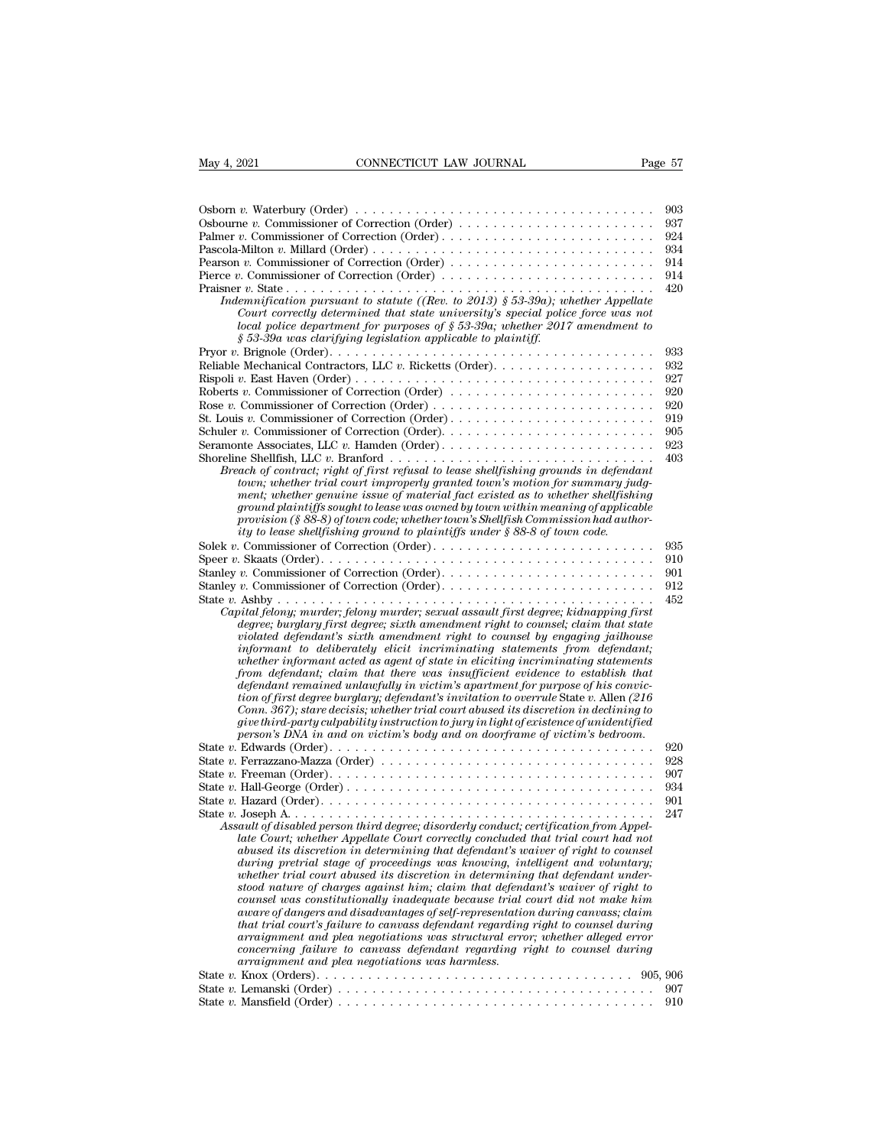| May 4, 2021<br>CONNECTICUT LAW JOURNAL                                                                                                                                                                                                                                                                                                                                                                                                                                                                                                                                                                                                                                                                                                                                                                                                                                                                                                                                                      | Page 57    |
|---------------------------------------------------------------------------------------------------------------------------------------------------------------------------------------------------------------------------------------------------------------------------------------------------------------------------------------------------------------------------------------------------------------------------------------------------------------------------------------------------------------------------------------------------------------------------------------------------------------------------------------------------------------------------------------------------------------------------------------------------------------------------------------------------------------------------------------------------------------------------------------------------------------------------------------------------------------------------------------------|------------|
|                                                                                                                                                                                                                                                                                                                                                                                                                                                                                                                                                                                                                                                                                                                                                                                                                                                                                                                                                                                             |            |
| Osborn v. Waterbury (Order) $\dots \dots \dots \dots \dots \dots \dots \dots \dots \dots \dots \dots \dots \dots$                                                                                                                                                                                                                                                                                                                                                                                                                                                                                                                                                                                                                                                                                                                                                                                                                                                                           | 903        |
| Osbourne v. Commissioner of Correction (Order)                                                                                                                                                                                                                                                                                                                                                                                                                                                                                                                                                                                                                                                                                                                                                                                                                                                                                                                                              | 937        |
| Palmer v. Commissioner of Correction (Order)                                                                                                                                                                                                                                                                                                                                                                                                                                                                                                                                                                                                                                                                                                                                                                                                                                                                                                                                                | 924        |
|                                                                                                                                                                                                                                                                                                                                                                                                                                                                                                                                                                                                                                                                                                                                                                                                                                                                                                                                                                                             | 934        |
| Pearson v. Commissioner of Correction (Order) $\dots \dots \dots \dots \dots \dots \dots \dots \dots$                                                                                                                                                                                                                                                                                                                                                                                                                                                                                                                                                                                                                                                                                                                                                                                                                                                                                       | 914        |
| Pierce v. Commissioner of Correction (Order) $\dots \dots \dots \dots \dots \dots \dots \dots \dots$                                                                                                                                                                                                                                                                                                                                                                                                                                                                                                                                                                                                                                                                                                                                                                                                                                                                                        | 914        |
| Indemnification pursuant to statute ((Rev. to 2013) § 53-39a); whether Appellate<br>Court correctly determined that state university's special police force was not<br>local police department for purposes of $\S 53-39a$ ; whether 2017 amendment to<br>$\S 53-39a$ was clarifying legislation applicable to plaintiff.                                                                                                                                                                                                                                                                                                                                                                                                                                                                                                                                                                                                                                                                   | 420        |
|                                                                                                                                                                                                                                                                                                                                                                                                                                                                                                                                                                                                                                                                                                                                                                                                                                                                                                                                                                                             | 933        |
|                                                                                                                                                                                                                                                                                                                                                                                                                                                                                                                                                                                                                                                                                                                                                                                                                                                                                                                                                                                             | 932        |
|                                                                                                                                                                                                                                                                                                                                                                                                                                                                                                                                                                                                                                                                                                                                                                                                                                                                                                                                                                                             | 927        |
| Roberts v. Commissioner of Correction (Order)                                                                                                                                                                                                                                                                                                                                                                                                                                                                                                                                                                                                                                                                                                                                                                                                                                                                                                                                               | 920        |
|                                                                                                                                                                                                                                                                                                                                                                                                                                                                                                                                                                                                                                                                                                                                                                                                                                                                                                                                                                                             | 920        |
| St. Louis v. Commissioner of Correction (Order)                                                                                                                                                                                                                                                                                                                                                                                                                                                                                                                                                                                                                                                                                                                                                                                                                                                                                                                                             | 919        |
|                                                                                                                                                                                                                                                                                                                                                                                                                                                                                                                                                                                                                                                                                                                                                                                                                                                                                                                                                                                             | 905        |
|                                                                                                                                                                                                                                                                                                                                                                                                                                                                                                                                                                                                                                                                                                                                                                                                                                                                                                                                                                                             | 923        |
|                                                                                                                                                                                                                                                                                                                                                                                                                                                                                                                                                                                                                                                                                                                                                                                                                                                                                                                                                                                             | 403        |
| Breach of contract; right of first refusal to lease shellfishing grounds in defendant<br>town; whether trial court improperly granted town's motion for summary judg-<br>ment; whether genuine issue of material fact existed as to whether shellfishing<br>ground plaintiffs sought to lease was owned by town within meaning of applicable<br>provision (§ 88-8) of town code; whether town's Shellfish Commission had author-<br>ity to lease shellfishing ground to plaintiffs under § 88-8 of town code.                                                                                                                                                                                                                                                                                                                                                                                                                                                                               |            |
|                                                                                                                                                                                                                                                                                                                                                                                                                                                                                                                                                                                                                                                                                                                                                                                                                                                                                                                                                                                             | 935        |
|                                                                                                                                                                                                                                                                                                                                                                                                                                                                                                                                                                                                                                                                                                                                                                                                                                                                                                                                                                                             | 910        |
|                                                                                                                                                                                                                                                                                                                                                                                                                                                                                                                                                                                                                                                                                                                                                                                                                                                                                                                                                                                             | 901        |
|                                                                                                                                                                                                                                                                                                                                                                                                                                                                                                                                                                                                                                                                                                                                                                                                                                                                                                                                                                                             | 912        |
| Capital felony; murder; felony murder; sexual assault first degree; kidnapping first<br>degree; burglary first degree; sixth amendment right to counsel; claim that state<br>violated defendant's sixth amendment right to counsel by engaging jailhouse<br>informant to deliberately elicit incriminating statements from defendant;<br>whether informant acted as agent of state in eliciting incriminating statements<br>from defendant; claim that there was insufficient evidence to establish that<br>defendant remained unlawfully in victim's apartment for purpose of his convic-<br>tion of first degree burglary; defendant's invitation to overrule State $v$ . Allen (216)<br>Conn. 367); stare decisis; whether trial court abused its discretion in declining to<br>give third-party culpability instruction to jury in light of existence of unidentified<br>person's DNA in and on victim's body and on doorframe of victim's bedroom.                                     | 452        |
|                                                                                                                                                                                                                                                                                                                                                                                                                                                                                                                                                                                                                                                                                                                                                                                                                                                                                                                                                                                             | 920        |
| State v. Ferrazzano-Mazza (Order) $\dots \dots \dots \dots \dots \dots \dots \dots \dots \dots \dots \dots \dots$                                                                                                                                                                                                                                                                                                                                                                                                                                                                                                                                                                                                                                                                                                                                                                                                                                                                           | 928        |
| State v. Freeman (Order). $\dots \dots \dots \dots \dots \dots \dots \dots \dots \dots \dots \dots \dots \dots \dots$                                                                                                                                                                                                                                                                                                                                                                                                                                                                                                                                                                                                                                                                                                                                                                                                                                                                       | 907<br>934 |
|                                                                                                                                                                                                                                                                                                                                                                                                                                                                                                                                                                                                                                                                                                                                                                                                                                                                                                                                                                                             | 901        |
|                                                                                                                                                                                                                                                                                                                                                                                                                                                                                                                                                                                                                                                                                                                                                                                                                                                                                                                                                                                             | 247        |
| Assault of disabled person third degree; disorderly conduct; certification from Appel-<br>late Court; whether Appellate Court correctly concluded that trial court had not<br>abused its discretion in determining that defendant's waiver of right to counsel<br>during pretrial stage of proceedings was knowing, intelligent and voluntary;<br>whether trial court abused its discretion in determining that defendant under-<br>stood nature of charges against him; claim that defendant's waiver of right to<br>counsel was constitutionally inadequate because trial court did not make him<br>aware of dangers and disadvantages of self-representation during canvass; claim<br>that trial court's failure to canvass defendant regarding right to counsel during<br>arraignment and plea negotiations was structural error; whether alleged error<br>concerning failure to canvass defendant regarding right to counsel during<br>arraignment and plea negotiations was harmless. |            |
|                                                                                                                                                                                                                                                                                                                                                                                                                                                                                                                                                                                                                                                                                                                                                                                                                                                                                                                                                                                             |            |
|                                                                                                                                                                                                                                                                                                                                                                                                                                                                                                                                                                                                                                                                                                                                                                                                                                                                                                                                                                                             | 907        |
|                                                                                                                                                                                                                                                                                                                                                                                                                                                                                                                                                                                                                                                                                                                                                                                                                                                                                                                                                                                             | 910        |
|                                                                                                                                                                                                                                                                                                                                                                                                                                                                                                                                                                                                                                                                                                                                                                                                                                                                                                                                                                                             |            |